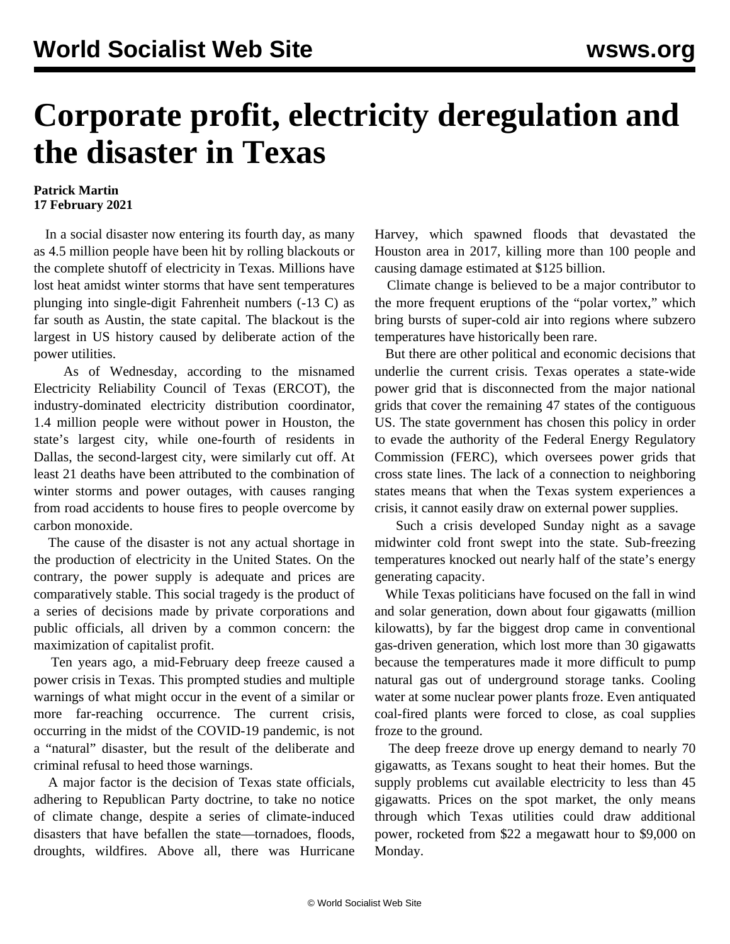## **Corporate profit, electricity deregulation and the disaster in Texas**

## **Patrick Martin 17 February 2021**

 In a social disaster now entering its fourth day, as many as 4.5 million people have been hit by rolling blackouts or the complete shutoff of electricity in Texas. Millions have lost heat amidst winter storms that have sent temperatures plunging into single-digit Fahrenheit numbers (-13 C) as far south as Austin, the state capital. The blackout is the largest in US history caused by deliberate action of the power utilities.

 As of Wednesday, according to the misnamed Electricity Reliability Council of Texas (ERCOT), the industry-dominated electricity distribution coordinator, 1.4 million people were without power in Houston, the state's largest city, while one-fourth of residents in Dallas, the second-largest city, were similarly cut off. At least 21 deaths have been attributed to the combination of winter storms and power outages, with causes ranging from road accidents to house fires to people overcome by carbon monoxide.

 The cause of the disaster is not any actual shortage in the production of electricity in the United States. On the contrary, the power supply is adequate and prices are comparatively stable. This social tragedy is the product of a series of decisions made by private corporations and public officials, all driven by a common concern: the maximization of capitalist profit.

 Ten years ago, a mid-February deep freeze caused a power crisis in Texas. This prompted studies and multiple warnings of what might occur in the event of a similar or more far-reaching occurrence. The current crisis, occurring in the midst of the COVID-19 pandemic, is not a "natural" disaster, but the result of the deliberate and criminal refusal to heed those warnings.

 A major factor is the decision of Texas state officials, adhering to Republican Party doctrine, to take no notice of climate change, despite a series of climate-induced disasters that have befallen the state—tornadoes, floods, droughts, wildfires. Above all, there was Hurricane

Harvey, which spawned floods that devastated the Houston area in 2017, killing more than 100 people and causing damage estimated at \$125 billion.

 Climate change is believed to be a major contributor to the more frequent eruptions of the "polar vortex," which bring bursts of super-cold air into regions where subzero temperatures have historically been rare.

 But there are other political and economic decisions that underlie the current crisis. Texas operates a state-wide power grid that is disconnected from the major national grids that cover the remaining 47 states of the contiguous US. The state government has chosen this policy in order to evade the authority of the Federal Energy Regulatory Commission (FERC), which oversees power grids that cross state lines. The lack of a connection to neighboring states means that when the Texas system experiences a crisis, it cannot easily draw on external power supplies.

 Such a crisis developed Sunday night as a savage midwinter cold front swept into the state. Sub-freezing temperatures knocked out nearly half of the state's energy generating capacity.

 While Texas politicians have focused on the fall in wind and solar generation, down about four gigawatts (million kilowatts), by far the biggest drop came in conventional gas-driven generation, which lost more than 30 gigawatts because the temperatures made it more difficult to pump natural gas out of underground storage tanks. Cooling water at some nuclear power plants froze. Even antiquated coal-fired plants were forced to close, as coal supplies froze to the ground.

 The deep freeze drove up energy demand to nearly 70 gigawatts, as Texans sought to heat their homes. But the supply problems cut available electricity to less than 45 gigawatts. Prices on the spot market, the only means through which Texas utilities could draw additional power, rocketed from \$22 a megawatt hour to \$9,000 on Monday.